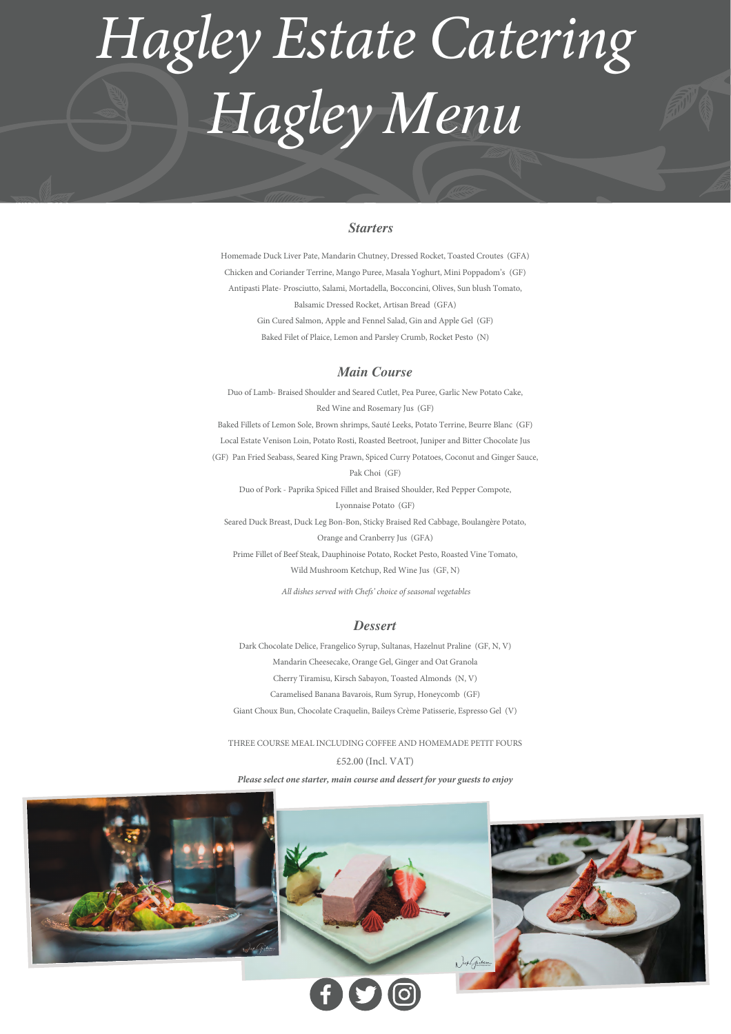# *Starters*

# *Hagley Estate Catering Hagley Menu*

Homemade Duck Liver Pate, Mandarin Chutney, Dressed Rocket, Toasted Croutes (GFA) Chicken and Coriander Terrine, Mango Puree, Masala Yoghurt, Mini Poppadom's (GF) Antipasti Plate- Prosciutto, Salami, Mortadella, Bocconcini, Olives, Sun blush Tomato, Balsamic Dressed Rocket, Artisan Bread (GFA) Gin Cured Salmon, Apple and Fennel Salad, Gin and Apple Gel (GF) Baked Filet of Plaice, Lemon and Parsley Crumb, Rocket Pesto (N)

# *Main Course*

Duo of Lamb- Braised Shoulder and Seared Cutlet, Pea Puree, Garlic New Potato Cake, Red Wine and Rosemary Jus (GF) Baked Fillets of Lemon Sole, Brown shrimps, Sauté Leeks, Potato Terrine, Beurre Blanc (GF) Local Estate Venison Loin, Potato Rosti, Roasted Beetroot, Juniper and Bitter Chocolate Jus (GF) Pan Fried Seabass, Seared King Prawn, Spiced Curry Potatoes, Coconut and Ginger Sauce, Pak Choi (GF) Duo of Pork - Paprika Spiced Fillet and Braised Shoulder, Red Pepper Compote, Lyonnaise Potato (GF)

Seared Duck Breast, Duck Leg Bon-Bon, Sticky Braised Red Cabbage, Boulangère Potato,

Orange and Cranberry Jus (GFA)

Prime Fillet of Beef Steak, Dauphinoise Potato, Rocket Pesto, Roasted Vine Tomato,

Wild Mushroom Ketchup, Red Wine Jus (GF, N)

 *All dishes served with Chefs' choice of seasonal vegetables*

#### *Dessert*

Dark Chocolate Delice, Frangelico Syrup, Sultanas, Hazelnut Praline (GF, N, V) Mandarin Cheesecake, Orange Gel, Ginger and Oat Granola Cherry Tiramisu, Kirsch Sabayon, Toasted Almonds (N, V) Caramelised Banana Bavarois, Rum Syrup, Honeycomb (GF) Giant Choux Bun, Chocolate Craquelin, Baileys Crème Patisserie, Espresso Gel (V)

# THREE COURSE MEAL INCLUDING COFFEE AND HOMEMADE PETIT FOURS £52.00 (Incl. VAT)

*Please select one starter, main course and dessert for your guests to enjoy*

1 ) ich Graham  $f(S)$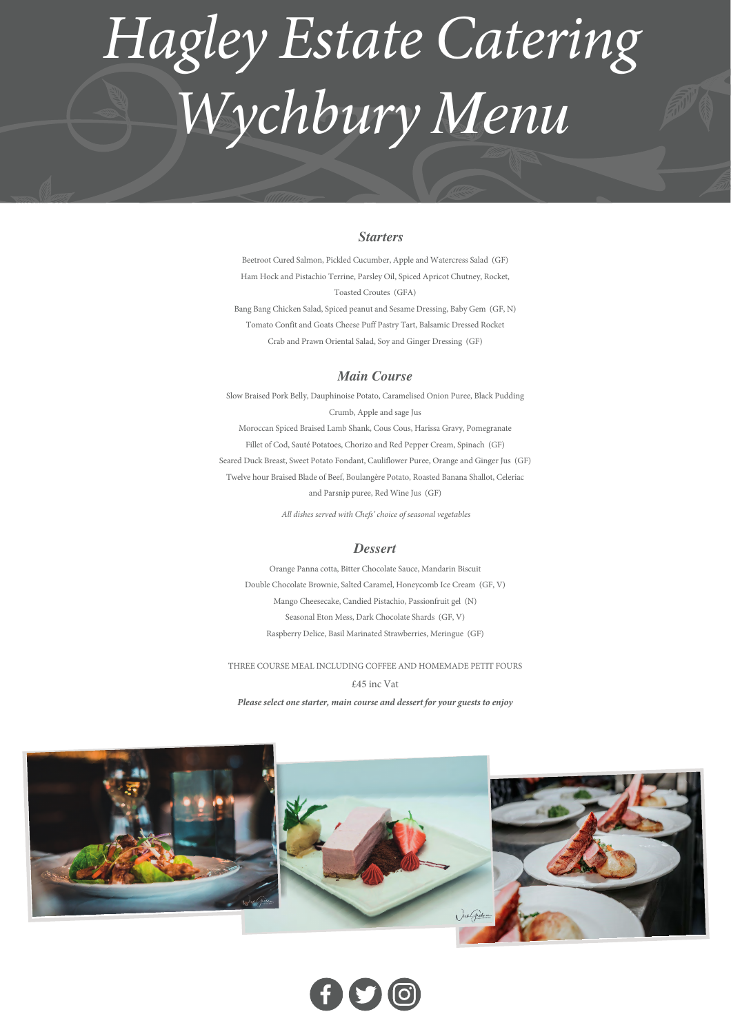# *Starters*

# *Hagley Estate Catering Wychbury Menu*

Beetroot Cured Salmon, Pickled Cucumber, Apple and Watercress Salad (GF) Ham Hock and Pistachio Terrine, Parsley Oil, Spiced Apricot Chutney, Rocket, Toasted Croutes (GFA) Bang Bang Chicken Salad, Spiced peanut and Sesame Dressing, Baby Gem (GF, N) Tomato Confit and Goats Cheese Puff Pastry Tart, Balsamic Dressed Rocket Crab and Prawn Oriental Salad, Soy and Ginger Dressing (GF)

*Main Course*

Slow Braised Pork Belly, Dauphinoise Potato, Caramelised Onion Puree, Black Pudding Crumb, Apple and sage Jus Moroccan Spiced Braised Lamb Shank, Cous Cous, Harissa Gravy, Pomegranate Fillet of Cod, Sauté Potatoes, Chorizo and Red Pepper Cream, Spinach (GF) Seared Duck Breast, Sweet Potato Fondant, Cauliflower Puree, Orange and Ginger Jus (GF) Twelve hour Braised Blade of Beef, Boulangère Potato, Roasted Banana Shallot, Celeriac and Parsnip puree, Red Wine Jus (GF)

 *All dishes served with Chefs' choice of seasonal vegetables*

#### *Dessert*

Orange Panna cotta, Bitter Chocolate Sauce, Mandarin Biscuit Double Chocolate Brownie, Salted Caramel, Honeycomb Ice Cream (GF, V) Mango Cheesecake, Candied Pistachio, Passionfruit gel (N) Seasonal Eton Mess, Dark Chocolate Shards (GF, V) Raspberry Delice, Basil Marinated Strawberries, Meringue (GF)

#### THREE COURSE MEAL INCLUDING COFFEE AND HOMEMADE PETIT FOURS

#### £45 inc Vat

*Please select one starter, main course and dessert for your guests to enjoy*